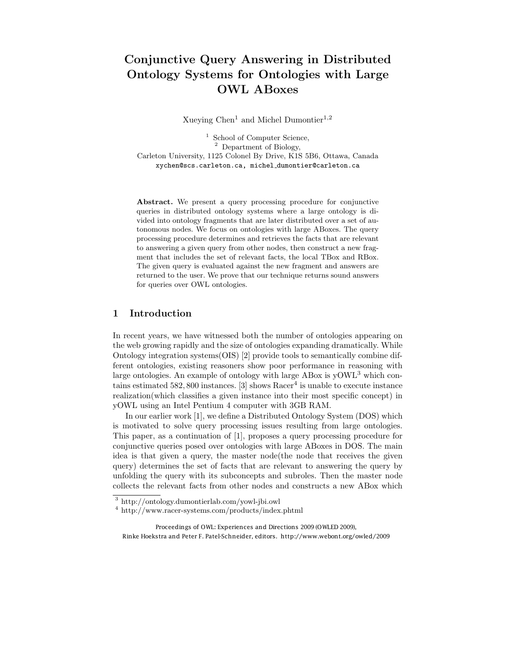# Conjunctive Query Answering in Distributed Ontology Systems for Ontologies with Large OWL ABoxes

Xueying  $Chen<sup>1</sup>$  and Michel Dumontier<sup>1,2</sup>

<sup>1</sup> School of Computer Science, <sup>2</sup> Department of Biology, Carleton University, 1125 Colonel By Drive, K1S 5B6, Ottawa, Canada xychen@scs.carleton.ca, michel dumontier@carleton.ca

Abstract. We present a query processing procedure for conjunctive queries in distributed ontology systems where a large ontology is divided into ontology fragments that are later distributed over a set of autonomous nodes. We focus on ontologies with large ABoxes. The query processing procedure determines and retrieves the facts that are relevant to answering a given query from other nodes, then construct a new fragment that includes the set of relevant facts, the local TBox and RBox. The given query is evaluated against the new fragment and answers are returned to the user. We prove that our technique returns sound answers for queries over OWL ontologies.

## 1 Introduction

In recent years, we have witnessed both the number of ontologies appearing on the web growing rapidly and the size of ontologies expanding dramatically. While Ontology integration systems(OIS) [2] provide tools to semantically combine different ontologies, existing reasoners show poor performance in reasoning with large ontologies. An example of ontology with large ABox is  $\rm vOWL<sup>3</sup>$  which contains estimated 582, 800 instances. [3] shows  $\text{Racer}^4$  is unable to execute instance realization(which classifies a given instance into their most specific concept) in yOWL using an Intel Pentium 4 computer with 3GB RAM.

In our earlier work [1], we define a Distributed Ontology System (DOS) which is motivated to solve query processing issues resulting from large ontologies. This paper, as a continuation of [1], proposes a query processing procedure for conjunctive queries posed over ontologies with large ABoxes in DOS. The main idea is that given a query, the master node(the node that receives the given query) determines the set of facts that are relevant to answering the query by unfolding the query with its subconcepts and subroles. Then the master node collects the relevant facts from other nodes and constructs a new ABox which

 $^3$ http://ontology.dumontierlab.com/yowl-jbi.owl $^4$ http://www.racer-systems.com/products/index.phtml

Proceedings of OWL: Experiences and Directions 2009 (OWLED 2009), Rinke Hoekstra and Peter F. Patel-Schneider, editors. http://www.webont.org/owled/2009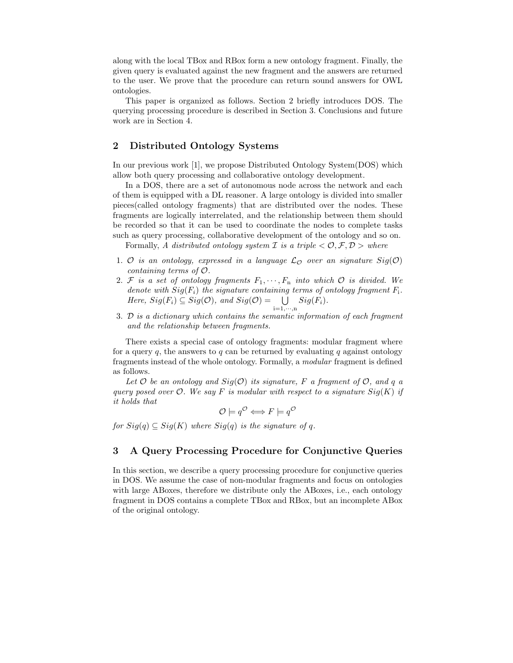along with the local TBox and RBox form a new ontology fragment. Finally, the given query is evaluated against the new fragment and the answers are returned to the user. We prove that the procedure can return sound answers for OWL ontologies.

This paper is organized as follows. Section 2 briefly introduces DOS. The querying processing procedure is described in Section 3. Conclusions and future work are in Section 4.

## 2 Distributed Ontology Systems

In our previous work [1], we propose Distributed Ontology System(DOS) which allow both query processing and collaborative ontology development.

In a DOS, there are a set of autonomous node across the network and each of them is equipped with a DL reasoner. A large ontology is divided into smaller pieces(called ontology fragments) that are distributed over the nodes. These fragments are logically interrelated, and the relationship between them should be recorded so that it can be used to coordinate the nodes to complete tasks such as query processing, collaborative development of the ontology and so on.

Formally, A distributed ontology system  $\mathcal I$  is a triple  $\langle \mathcal O, \mathcal F, \mathcal D \rangle$  where

- 1. O is an ontology, expressed in a language  $\mathcal{L}_{\mathcal{O}}$  over an signature  $Sig(\mathcal{O})$ containing terms of O.
- 2. F is a set of ontology fragments  $F_1, \dots, F_n$  into which  $\mathcal O$  is divided. We denote with  $Sig(F_i)$  the signature containing terms of ontology fragment  $F_i$ . Here,  $Sig(F_i) \subseteq Sig(\mathcal{O})$ , and  $Sig(\mathcal{O}) = \bigcup_{i=1,\cdots,n} Sig(F_i)$ .
- 3. D is a dictionary which contains the semantic information of each fragment and the relationship between fragments.

There exists a special case of ontology fragments: modular fragment where for a query q, the answers to q can be returned by evaluating q against ontology fragments instead of the whole ontology. Formally, a modular fragment is defined as follows.

Let  $O$  be an ontology and  $Sig(O)$  its signature, F a fragment of  $O$ , and q a query posed over  $\mathcal{O}$ . We say F is modular with respect to a signature  $Sig(K)$  if it holds that

$$
\mathcal{O} \models q^{\mathcal{O}} \Longleftrightarrow F \models q^{\mathcal{O}}
$$

for  $Sig(q) \subseteq Sig(K)$  where  $Sig(q)$  is the signature of q.

## 3 A Query Processing Procedure for Conjunctive Queries

In this section, we describe a query processing procedure for conjunctive queries in DOS. We assume the case of non-modular fragments and focus on ontologies with large ABoxes, therefore we distribute only the ABoxes, i.e., each ontology fragment in DOS contains a complete TBox and RBox, but an incomplete ABox of the original ontology.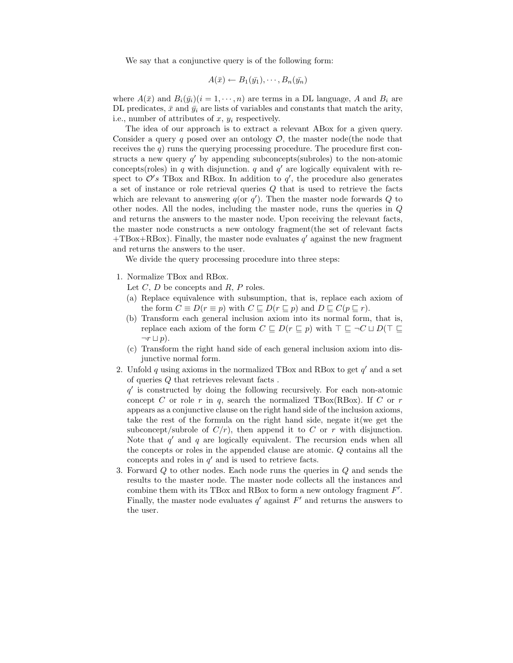We say that a conjunctive query is of the following form:

$$
A(\bar{x}) \leftarrow B_1(\bar{y_1}), \cdots, B_n(\bar{y_n})
$$

where  $A(\bar{x})$  and  $B_i(\bar{y}_i)(i=1,\cdots,n)$  are terms in a DL language, A and  $B_i$  are DL predicates,  $\bar{x}$  and  $\bar{y}_i$  are lists of variables and constants that match the arity, i.e., number of attributes of  $x, y_i$  respectively.

The idea of our approach is to extract a relevant ABox for a given query. Consider a query q posed over an ontology  $\mathcal{O}$ , the master node(the node that receives the  $q$ ) runs the querying processing procedure. The procedure first constructs a new query  $q'$  by appending subconcepts(subroles) to the non-atomic concepts(roles) in q with disjunction. q and  $q'$  are logically equivalent with respect to  $\mathcal{O}'s$  TBox and RBox. In addition to  $q'$ , the procedure also generates a set of instance or role retrieval queries  $Q$  that is used to retrieve the facts which are relevant to answering  $q($ or  $q'$ ). Then the master node forwards  $Q$  to other nodes. All the nodes, including the master node, runs the queries in Q and returns the answers to the master node. Upon receiving the relevant facts, the master node constructs a new ontology fragment(the set of relevant facts  $+TBox+RBox$ ). Finally, the master node evaluates q' against the new fragment and returns the answers to the user.

We divide the query processing procedure into three steps:

- 1. Normalize TBox and RBox.
	- Let  $C, D$  be concepts and  $R, P$  roles.
	- (a) Replace equivalence with subsumption, that is, replace each axiom of the form  $C \equiv D(r \equiv p)$  with  $C \sqsubseteq D(r \sqsubseteq p)$  and  $D \sqsubseteq C(p \sqsubseteq r)$ .
	- (b) Transform each general inclusion axiom into its normal form, that is, replace each axiom of the form  $C \subseteq D(r \subseteq p)$  with  $\top \subseteq \neg C \sqcup D(\top \subseteq$  $\neg r \sqcup p$ ).
	- (c) Transform the right hand side of each general inclusion axiom into disjunctive normal form.
- 2. Unfold q using axioms in the normalized TBox and RBox to get  $q'$  and a set of queries Q that retrieves relevant facts .

 $q'$  is constructed by doing the following recursively. For each non-atomic concept C or role r in q, search the normalized TBox(RBox). If C or r appears as a conjunctive clause on the right hand side of the inclusion axioms, take the rest of the formula on the right hand side, negate it(we get the subconcept/subrole of  $C/r$ , then append it to C or r with disjunction. Note that  $q'$  and  $q$  are logically equivalent. The recursion ends when all the concepts or roles in the appended clause are atomic. Q contains all the concepts and roles in  $q'$  and is used to retrieve facts.

3. Forward Q to other nodes. Each node runs the queries in Q and sends the results to the master node. The master node collects all the instances and combine them with its TBox and RBox to form a new ontology fragment  $F'$ . Finally, the master node evaluates  $q'$  against  $F'$  and returns the answers to the user.